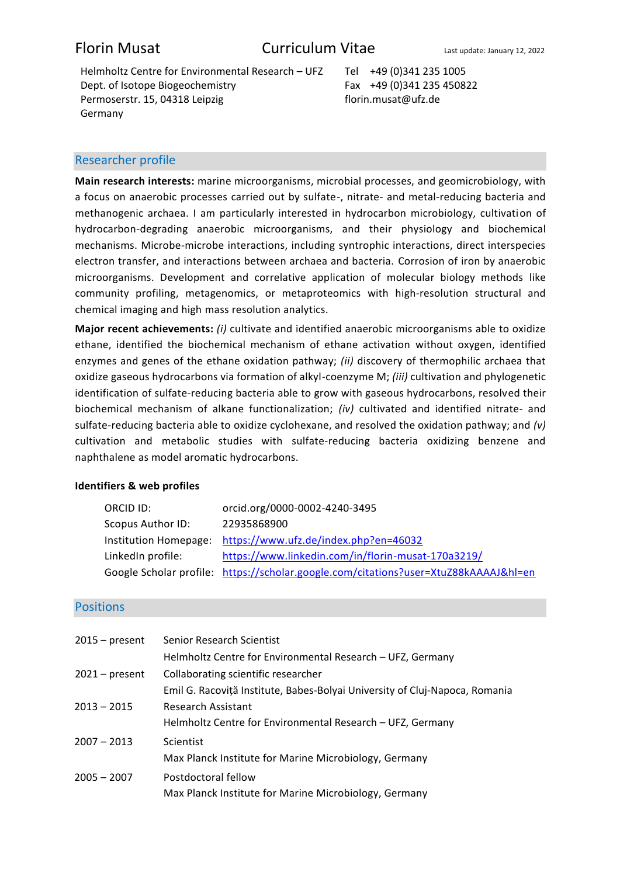Helmholtz Centre for Environmental Research - UFZ Tel +49 (0)341 235 1005 Dept. of Isotope Biogeochemistry Permoserstr. 15, 04318 Leipzig Germany

Fax +49 (0)341 235 450822 florin.musat@ufz.de

## Researcher profile

**Main research interests:** marine microorganisms, microbial processes, and geomicrobiology, with a focus on anaerobic processes carried out by sulfate-, nitrate- and metal-reducing bacteria and methanogenic archaea. I am particularly interested in hydrocarbon microbiology, cultivation of hydrocarbon-degrading anaerobic microorganisms, and their physiology and biochemical mechanisms. Microbe-microbe interactions, including syntrophic interactions, direct interspecies electron transfer, and interactions between archaea and bacteria. Corrosion of iron by anaerobic microorganisms. Development and correlative application of molecular biology methods like community profiling, metagenomics, or metaproteomics with high-resolution structural and chemical imaging and high mass resolution analytics.

**Major recent achievements:** *(i)* cultivate and identified anaerobic microorganisms able to oxidize ethane, identified the biochemical mechanism of ethane activation without oxygen, identified enzymes and genes of the ethane oxidation pathway; *(ii)* discovery of thermophilic archaea that oxidize gaseous hydrocarbons via formation of alkyl-coenzyme M; *(iii)* cultivation and phylogenetic identification of sulfate-reducing bacteria able to grow with gaseous hydrocarbons, resolved their biochemical mechanism of alkane functionalization; *(iv)* cultivated and identified nitrate- and sulfate-reducing bacteria able to oxidize cyclohexane, and resolved the oxidation pathway; and *(v)* cultivation and metabolic studies with sulfate-reducing bacteria oxidizing benzene and naphthalene as model aromatic hydrocarbons.

## **Identifiers & web profiles**

| ORCID ID:         | orcid.org/0000-0002-4240-3495                                                        |
|-------------------|--------------------------------------------------------------------------------------|
| Scopus Author ID: | 22935868900                                                                          |
|                   | Institution Homepage: https://www.ufz.de/index.php?en=46032                          |
| LinkedIn profile: | https://www.linkedin.com/in/florin-musat-170a3219/                                   |
|                   | Google Scholar profile: https://scholar.google.com/citations?user=XtuZ88kAAAAJ&hl=en |

## **Positions**

| $2015 - present$ | Senior Research Scientist                                                   |
|------------------|-----------------------------------------------------------------------------|
|                  | Helmholtz Centre for Environmental Research - UFZ, Germany                  |
| $2021$ – present | Collaborating scientific researcher                                         |
|                  | Emil G. Racoviță Institute, Babes-Bolyai University of Cluj-Napoca, Romania |
| $2013 - 2015$    | Research Assistant                                                          |
|                  | Helmholtz Centre for Environmental Research - UFZ, Germany                  |
| $2007 - 2013$    | Scientist                                                                   |
|                  | Max Planck Institute for Marine Microbiology, Germany                       |
| $2005 - 2007$    | Postdoctoral fellow                                                         |
|                  | Max Planck Institute for Marine Microbiology, Germany                       |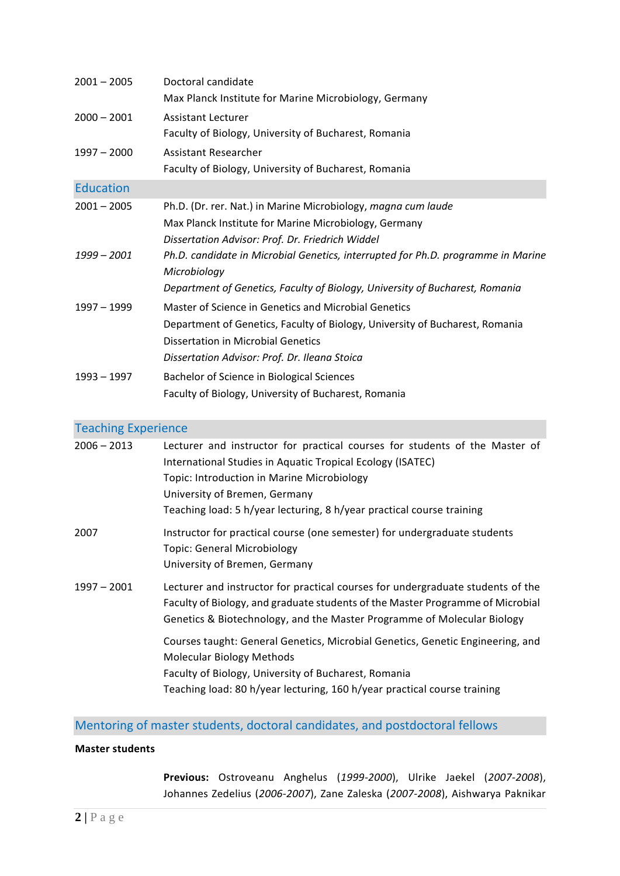| $2001 - 2005$    | Doctoral candidate<br>Max Planck Institute for Marine Microbiology, Germany                                                                                                                                                 |
|------------------|-----------------------------------------------------------------------------------------------------------------------------------------------------------------------------------------------------------------------------|
| $2000 - 2001$    | Assistant Lecturer<br>Faculty of Biology, University of Bucharest, Romania                                                                                                                                                  |
| $1997 - 2000$    | Assistant Researcher<br>Faculty of Biology, University of Bucharest, Romania                                                                                                                                                |
| <b>Education</b> |                                                                                                                                                                                                                             |
| $2001 - 2005$    | Ph.D. (Dr. rer. Nat.) in Marine Microbiology, magna cum laude<br>Max Planck Institute for Marine Microbiology, Germany<br>Dissertation Advisor: Prof. Dr. Friedrich Widdel                                                  |
| $1999 - 2001$    | Ph.D. candidate in Microbial Genetics, interrupted for Ph.D. programme in Marine<br>Microbiology<br>Department of Genetics, Faculty of Biology, University of Bucharest, Romania                                            |
| $1997 - 1999$    | Master of Science in Genetics and Microbial Genetics<br>Department of Genetics, Faculty of Biology, University of Bucharest, Romania<br>Dissertation in Microbial Genetics<br>Dissertation Advisor: Prof. Dr. Ileana Stoica |
| 1993 - 1997      | Bachelor of Science in Biological Sciences<br>Faculty of Biology, University of Bucharest, Romania                                                                                                                          |

# Teaching Experience

| $2006 - 2013$ | Lecturer and instructor for practical courses for students of the Master of<br>International Studies in Aquatic Tropical Ecology (ISATEC)<br>Topic: Introduction in Marine Microbiology<br>University of Bremen, Germany<br>Teaching load: 5 h/year lecturing, 8 h/year practical course training |
|---------------|---------------------------------------------------------------------------------------------------------------------------------------------------------------------------------------------------------------------------------------------------------------------------------------------------|
| 2007          | Instructor for practical course (one semester) for undergraduate students<br><b>Topic: General Microbiology</b><br>University of Bremen, Germany                                                                                                                                                  |
| $1997 - 2001$ | Lecturer and instructor for practical courses for undergraduate students of the<br>Faculty of Biology, and graduate students of the Master Programme of Microbial<br>Genetics & Biotechnology, and the Master Programme of Molecular Biology                                                      |
|               | Courses taught: General Genetics, Microbial Genetics, Genetic Engineering, and<br>Molecular Biology Methods<br>Faculty of Biology, University of Bucharest, Romania<br>Teaching load: 80 h/year lecturing, 160 h/year practical course training                                                   |

Mentoring of master students, doctoral candidates, and postdoctoral fellows

## **Master students**

**Previous:** Ostroveanu Anghelus (*1999-2000*), Ulrike Jaekel (*2007-2008*), Johannes Zedelius (*2006-2007*), Zane Zaleska (*2007-2008*), Aishwarya Paknikar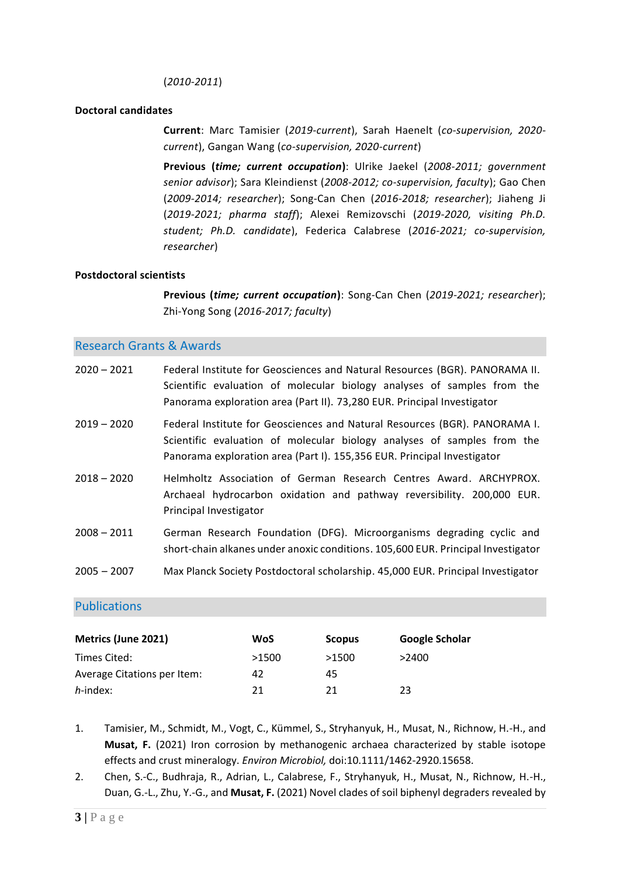### (*2010-2011*)

### **Doctoral candidates**

**Current**: Marc Tamisier (*2019-current*), Sarah Haenelt (*co-supervision, 2020 current*), Gangan Wang (*co-supervision, 2020-current*)

**Previous (***time; current occupation***)**: Ulrike Jaekel (*2008-2011; government senior advisor*); Sara Kleindienst (*2008-2012; co-supervision, faculty*); Gao Chen (*2009-2014; researcher*); Song-Can Chen (*2016-2018; researcher*); Jiaheng Ji (*2019-2021; pharma staff*); Alexei Remizovschi (*2019-2020, visiting Ph.D. student; Ph.D. candidate*), Federica Calabrese (*2016-2021; co-supervision, researcher*)

#### **Postdoctoral scientists**

**Previous (***time; current occupation***)**: Song-Can Chen (*2019-2021; researcher*); Zhi-Yong Song (*2016-2017; faculty*)

## Research Grants & Awards

| $2020 - 2021$ | Federal Institute for Geosciences and Natural Resources (BGR). PANORAMA II.<br>Scientific evaluation of molecular biology analyses of samples from the<br>Panorama exploration area (Part II). 73,280 EUR. Principal Investigator |
|---------------|-----------------------------------------------------------------------------------------------------------------------------------------------------------------------------------------------------------------------------------|
| $2019 - 2020$ | Federal Institute for Geosciences and Natural Resources (BGR). PANORAMA I.<br>Scientific evaluation of molecular biology analyses of samples from the<br>Panorama exploration area (Part I). 155,356 EUR. Principal Investigator  |
| $2018 - 2020$ | Helmholtz Association of German Research Centres Award. ARCHYPROX.<br>Archaeal hydrocarbon oxidation and pathway reversibility. 200,000 EUR.<br>Principal Investigator                                                            |
| $2008 - 2011$ | German Research Foundation (DFG). Microorganisms degrading cyclic and<br>short-chain alkanes under anoxic conditions. 105,600 EUR. Principal Investigator                                                                         |
| $2005 - 2007$ | Max Planck Society Postdoctoral scholarship. 45,000 EUR. Principal Investigator                                                                                                                                                   |

## Publications

| <b>Metrics (June 2021)</b>  | <b>WoS</b> | <b>Scopus</b> | Google Scholar |
|-----------------------------|------------|---------------|----------------|
| Times Cited:                | >1500      | >1500         | >2400          |
| Average Citations per Item: | 42         | 45            |                |
| $h$ -index:                 | 21         | 21            | 23             |

1. Tamisier, M., Schmidt, M., Vogt, C., Kümmel, S., Stryhanyuk, H., Musat, N., Richnow, H.-H., and **Musat, F.** (2021) Iron corrosion by methanogenic archaea characterized by stable isotope effects and crust mineralogy. *Environ Microbiol,* doi:10.1111/1462-2920.15658.

2. Chen, S.-C., Budhraja, R., Adrian, L., Calabrese, F., Stryhanyuk, H., Musat, N., Richnow, H.-H., Duan, G.-L., Zhu, Y.-G., and **Musat, F.** (2021) Novel clades of soil biphenyl degraders revealed by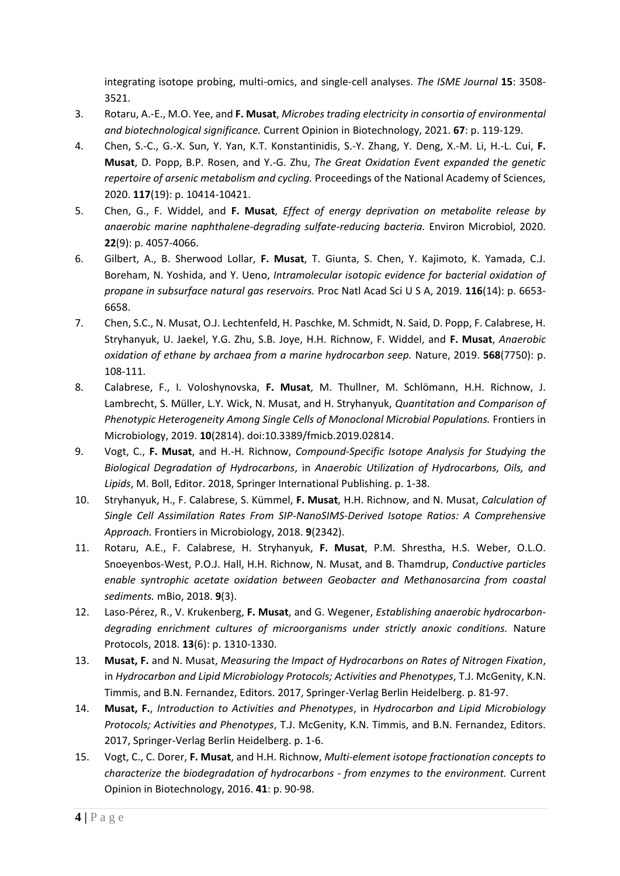integrating isotope probing, multi-omics, and single-cell analyses. *The ISME Journal* **15**: 3508- 3521.

- 3. Rotaru, A.-E., M.O. Yee, and **F. Musat**, *Microbes trading electricity in consortia of environmental and biotechnological significance.* Current Opinion in Biotechnology, 2021. **67**: p. 119-129.
- 4. Chen, S.-C., G.-X. Sun, Y. Yan, K.T. Konstantinidis, S.-Y. Zhang, Y. Deng, X.-M. Li, H.-L. Cui, **F. Musat**, D. Popp, B.P. Rosen, and Y.-G. Zhu, *The Great Oxidation Event expanded the genetic repertoire of arsenic metabolism and cycling.* Proceedings of the National Academy of Sciences, 2020. **117**(19): p. 10414-10421.
- 5. Chen, G., F. Widdel, and **F. Musat**, *Effect of energy deprivation on metabolite release by anaerobic marine naphthalene-degrading sulfate-reducing bacteria.* Environ Microbiol, 2020. **22**(9): p. 4057-4066.
- 6. Gilbert, A., B. Sherwood Lollar, **F. Musat**, T. Giunta, S. Chen, Y. Kajimoto, K. Yamada, C.J. Boreham, N. Yoshida, and Y. Ueno, *Intramolecular isotopic evidence for bacterial oxidation of propane in subsurface natural gas reservoirs.* Proc Natl Acad Sci U S A, 2019. **116**(14): p. 6653- 6658.
- 7. Chen, S.C., N. Musat, O.J. Lechtenfeld, H. Paschke, M. Schmidt, N. Said, D. Popp, F. Calabrese, H. Stryhanyuk, U. Jaekel, Y.G. Zhu, S.B. Joye, H.H. Richnow, F. Widdel, and **F. Musat**, *Anaerobic oxidation of ethane by archaea from a marine hydrocarbon seep.* Nature, 2019. **568**(7750): p. 108-111.
- 8. Calabrese, F., I. Voloshynovska, **F. Musat**, M. Thullner, M. Schlömann, H.H. Richnow, J. Lambrecht, S. Müller, L.Y. Wick, N. Musat, and H. Stryhanyuk, *Quantitation and Comparison of Phenotypic Heterogeneity Among Single Cells of Monoclonal Microbial Populations.* Frontiers in Microbiology, 2019. **10**(2814). doi:10.3389/fmicb.2019.02814.
- 9. Vogt, C., **F. Musat**, and H.-H. Richnow, *Compound-Specific Isotope Analysis for Studying the Biological Degradation of Hydrocarbons*, in *Anaerobic Utilization of Hydrocarbons, Oils, and Lipids*, M. Boll, Editor. 2018, Springer International Publishing. p. 1-38.
- 10. Stryhanyuk, H., F. Calabrese, S. Kümmel, **F. Musat**, H.H. Richnow, and N. Musat, *Calculation of Single Cell Assimilation Rates From SIP-NanoSIMS-Derived Isotope Ratios: A Comprehensive Approach.* Frontiers in Microbiology, 2018. **9**(2342).
- 11. Rotaru, A.E., F. Calabrese, H. Stryhanyuk, **F. Musat**, P.M. Shrestha, H.S. Weber, O.L.O. Snoeyenbos-West, P.O.J. Hall, H.H. Richnow, N. Musat, and B. Thamdrup, *Conductive particles enable syntrophic acetate oxidation between Geobacter and Methanosarcina from coastal sediments.* mBio, 2018. **9**(3).
- 12. Laso-Pérez, R., V. Krukenberg, **F. Musat**, and G. Wegener, *Establishing anaerobic hydrocarbondegrading enrichment cultures of microorganisms under strictly anoxic conditions.* Nature Protocols, 2018. **13**(6): p. 1310-1330.
- 13. **Musat, F.** and N. Musat, *Measuring the Impact of Hydrocarbons on Rates of Nitrogen Fixation*, in *Hydrocarbon and Lipid Microbiology Protocols; Activities and Phenotypes*, T.J. McGenity, K.N. Timmis, and B.N. Fernandez, Editors. 2017, Springer-Verlag Berlin Heidelberg. p. 81-97.
- 14. **Musat, F.**, *Introduction to Activities and Phenotypes*, in *Hydrocarbon and Lipid Microbiology Protocols; Activities and Phenotypes*, T.J. McGenity, K.N. Timmis, and B.N. Fernandez, Editors. 2017, Springer-Verlag Berlin Heidelberg. p. 1-6.
- 15. Vogt, C., C. Dorer, **F. Musat**, and H.H. Richnow, *Multi-element isotope fractionation concepts to characterize the biodegradation of hydrocarbons - from enzymes to the environment.* Current Opinion in Biotechnology, 2016. **41**: p. 90-98.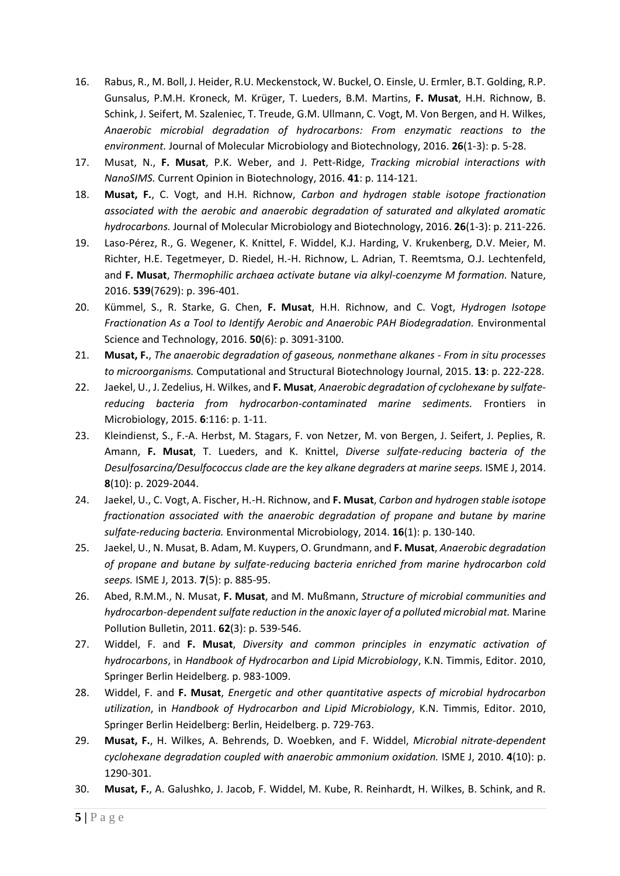- 16. Rabus, R., M. Boll, J. Heider, R.U. Meckenstock, W. Buckel, O. Einsle, U. Ermler, B.T. Golding, R.P. Gunsalus, P.M.H. Kroneck, M. Krüger, T. Lueders, B.M. Martins, **F. Musat**, H.H. Richnow, B. Schink, J. Seifert, M. Szaleniec, T. Treude, G.M. Ullmann, C. Vogt, M. Von Bergen, and H. Wilkes, *Anaerobic microbial degradation of hydrocarbons: From enzymatic reactions to the environment.* Journal of Molecular Microbiology and Biotechnology, 2016. **26**(1-3): p. 5-28.
- 17. Musat, N., **F. Musat**, P.K. Weber, and J. Pett-Ridge, *Tracking microbial interactions with NanoSIMS.* Current Opinion in Biotechnology, 2016. **41**: p. 114-121.
- 18. **Musat, F.**, C. Vogt, and H.H. Richnow, *Carbon and hydrogen stable isotope fractionation associated with the aerobic and anaerobic degradation of saturated and alkylated aromatic hydrocarbons.* Journal of Molecular Microbiology and Biotechnology, 2016. **26**(1-3): p. 211-226.
- 19. Laso-Pérez, R., G. Wegener, K. Knittel, F. Widdel, K.J. Harding, V. Krukenberg, D.V. Meier, M. Richter, H.E. Tegetmeyer, D. Riedel, H.-H. Richnow, L. Adrian, T. Reemtsma, O.J. Lechtenfeld, and **F. Musat**, *Thermophilic archaea activate butane via alkyl-coenzyme M formation.* Nature, 2016. **539**(7629): p. 396-401.
- 20. Kümmel, S., R. Starke, G. Chen, **F. Musat**, H.H. Richnow, and C. Vogt, *Hydrogen Isotope Fractionation As a Tool to Identify Aerobic and Anaerobic PAH Biodegradation.* Environmental Science and Technology, 2016. **50**(6): p. 3091-3100.
- 21. **Musat, F.**, *The anaerobic degradation of gaseous, nonmethane alkanes - From in situ processes to microorganisms.* Computational and Structural Biotechnology Journal, 2015. **13**: p. 222-228.
- 22. Jaekel, U., J. Zedelius, H. Wilkes, and **F. Musat**, *Anaerobic degradation of cyclohexane by sulfatereducing bacteria from hydrocarbon-contaminated marine sediments.* Frontiers in Microbiology, 2015. **6**:116: p. 1-11.
- 23. Kleindienst, S., F.-A. Herbst, M. Stagars, F. von Netzer, M. von Bergen, J. Seifert, J. Peplies, R. Amann, **F. Musat**, T. Lueders, and K. Knittel, *Diverse sulfate-reducing bacteria of the Desulfosarcina/Desulfococcus clade are the key alkane degraders at marine seeps.* ISME J, 2014. **8**(10): p. 2029-2044.
- 24. Jaekel, U., C. Vogt, A. Fischer, H.-H. Richnow, and **F. Musat**, *Carbon and hydrogen stable isotope fractionation associated with the anaerobic degradation of propane and butane by marine sulfate-reducing bacteria.* Environmental Microbiology, 2014. **16**(1): p. 130-140.
- 25. Jaekel, U., N. Musat, B. Adam, M. Kuypers, O. Grundmann, and **F. Musat**, *Anaerobic degradation of propane and butane by sulfate-reducing bacteria enriched from marine hydrocarbon cold seeps.* ISME J, 2013. **7**(5): p. 885-95.
- 26. Abed, R.M.M., N. Musat, **F. Musat**, and M. Mußmann, *Structure of microbial communities and hydrocarbon-dependent sulfate reduction in the anoxic layer of a polluted microbial mat.* Marine Pollution Bulletin, 2011. **62**(3): p. 539-546.
- 27. Widdel, F. and **F. Musat**, *Diversity and common principles in enzymatic activation of hydrocarbons*, in *Handbook of Hydrocarbon and Lipid Microbiology*, K.N. Timmis, Editor. 2010, Springer Berlin Heidelberg. p. 983-1009.
- 28. Widdel, F. and **F. Musat**, *Energetic and other quantitative aspects of microbial hydrocarbon utilization*, in *Handbook of Hydrocarbon and Lipid Microbiology*, K.N. Timmis, Editor. 2010, Springer Berlin Heidelberg: Berlin, Heidelberg. p. 729-763.
- 29. **Musat, F.**, H. Wilkes, A. Behrends, D. Woebken, and F. Widdel, *Microbial nitrate-dependent cyclohexane degradation coupled with anaerobic ammonium oxidation.* ISME J, 2010. **4**(10): p. 1290-301.
- 30. **Musat, F.**, A. Galushko, J. Jacob, F. Widdel, M. Kube, R. Reinhardt, H. Wilkes, B. Schink, and R.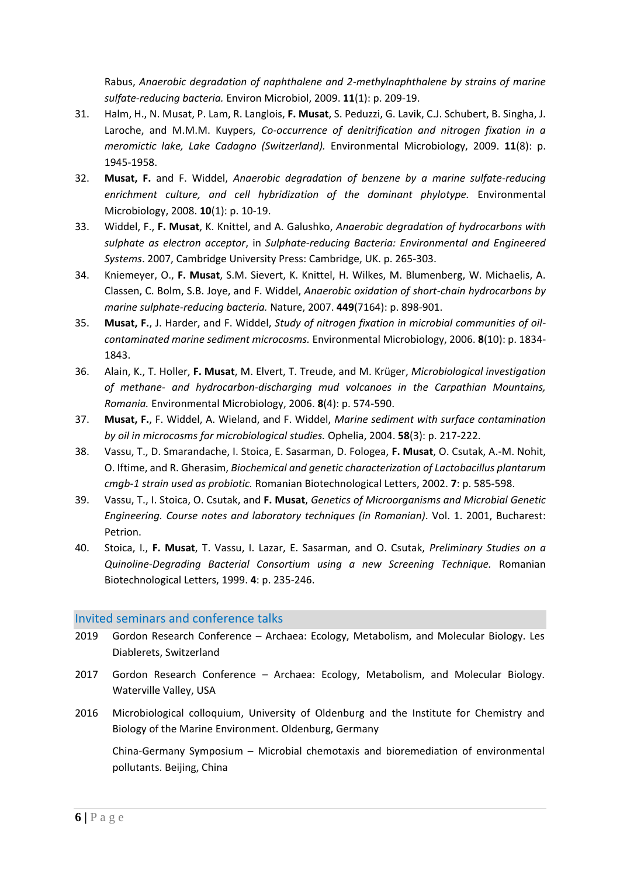Rabus, *Anaerobic degradation of naphthalene and 2-methylnaphthalene by strains of marine sulfate-reducing bacteria.* Environ Microbiol, 2009. **11**(1): p. 209-19.

- 31. Halm, H., N. Musat, P. Lam, R. Langlois, **F. Musat**, S. Peduzzi, G. Lavik, C.J. Schubert, B. Singha, J. Laroche, and M.M.M. Kuypers, *Co-occurrence of denitrification and nitrogen fixation in a meromictic lake, Lake Cadagno (Switzerland).* Environmental Microbiology, 2009. **11**(8): p. 1945-1958.
- 32. **Musat, F.** and F. Widdel, *Anaerobic degradation of benzene by a marine sulfate-reducing enrichment culture, and cell hybridization of the dominant phylotype.* Environmental Microbiology, 2008. **10**(1): p. 10-19.
- 33. Widdel, F., **F. Musat**, K. Knittel, and A. Galushko, *Anaerobic degradation of hydrocarbons with sulphate as electron acceptor*, in *Sulphate-reducing Bacteria: Environmental and Engineered Systems*. 2007, Cambridge University Press: Cambridge, UK. p. 265-303.
- 34. Kniemeyer, O., **F. Musat**, S.M. Sievert, K. Knittel, H. Wilkes, M. Blumenberg, W. Michaelis, A. Classen, C. Bolm, S.B. Joye, and F. Widdel, *Anaerobic oxidation of short-chain hydrocarbons by marine sulphate-reducing bacteria.* Nature, 2007. **449**(7164): p. 898-901.
- 35. **Musat, F.**, J. Harder, and F. Widdel, *Study of nitrogen fixation in microbial communities of oilcontaminated marine sediment microcosms.* Environmental Microbiology, 2006. **8**(10): p. 1834- 1843.
- 36. Alain, K., T. Holler, **F. Musat**, M. Elvert, T. Treude, and M. Krüger, *Microbiological investigation of methane- and hydrocarbon-discharging mud volcanoes in the Carpathian Mountains, Romania.* Environmental Microbiology, 2006. **8**(4): p. 574-590.
- 37. **Musat, F.**, F. Widdel, A. Wieland, and F. Widdel, *Marine sediment with surface contamination by oil in microcosms for microbiological studies.* Ophelia, 2004. **58**(3): p. 217-222.
- 38. Vassu, T., D. Smarandache, I. Stoica, E. Sasarman, D. Fologea, **F. Musat**, O. Csutak, A.-M. Nohit, O. Iftime, and R. Gherasim, *Biochemical and genetic characterization of Lactobacillus plantarum cmgb-1 strain used as probiotic.* Romanian Biotechnological Letters, 2002. **7**: p. 585-598.
- 39. Vassu, T., I. Stoica, O. Csutak, and **F. Musat**, *Genetics of Microorganisms and Microbial Genetic Engineering. Course notes and laboratory techniques (in Romanian)*. Vol. 1. 2001, Bucharest: Petrion.
- 40. Stoica, I., **F. Musat**, T. Vassu, I. Lazar, E. Sasarman, and O. Csutak, *Preliminary Studies on a Quinoline-Degrading Bacterial Consortium using a new Screening Technique.* Romanian Biotechnological Letters, 1999. **4**: p. 235-246.

## Invited seminars and conference talks

- 2019 Gordon Research Conference Archaea: Ecology, Metabolism, and Molecular Biology. Les Diablerets, Switzerland
- 2017 Gordon Research Conference Archaea: Ecology, Metabolism, and Molecular Biology. Waterville Valley, USA
- 2016 Microbiological colloquium, University of Oldenburg and the Institute for Chemistry and Biology of the Marine Environment. Oldenburg, Germany

China-Germany Symposium – Microbial chemotaxis and bioremediation of environmental pollutants. Beijing, China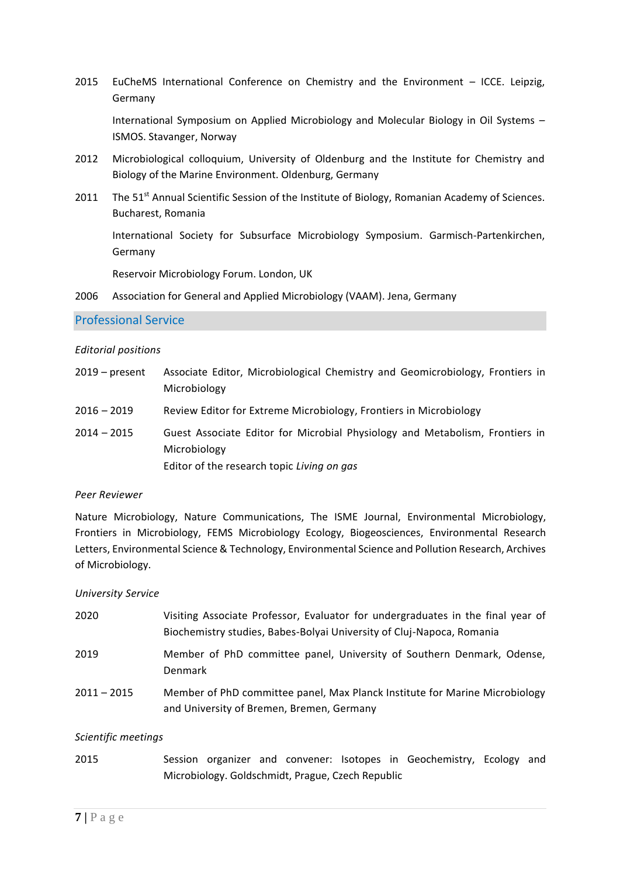2015 EuCheMS International Conference on Chemistry and the Environment – ICCE. Leipzig, Germany

International Symposium on Applied Microbiology and Molecular Biology in Oil Systems – ISMOS. Stavanger, Norway

- 2012 Microbiological colloquium, University of Oldenburg and the Institute for Chemistry and Biology of the Marine Environment. Oldenburg, Germany
- 2011 The 51<sup>st</sup> Annual Scientific Session of the Institute of Biology, Romanian Academy of Sciences. Bucharest, Romania

International Society for Subsurface Microbiology Symposium. Garmisch-Partenkirchen, Germany

Reservoir Microbiology Forum. London, UK

2006 Association for General and Applied Microbiology (VAAM). Jena, Germany

### Professional Service

#### *Editorial positions*

| $2019$ – present | Associate Editor, Microbiological Chemistry and Geomicrobiology, Frontiers in<br>Microbiology                                              |
|------------------|--------------------------------------------------------------------------------------------------------------------------------------------|
| $2016 - 2019$    | Review Editor for Extreme Microbiology, Frontiers in Microbiology                                                                          |
| $2014 - 2015$    | Guest Associate Editor for Microbial Physiology and Metabolism, Frontiers in<br>Microbiology<br>Editor of the research topic Living on gas |

### *Peer Reviewer*

Nature Microbiology, Nature Communications, The ISME Journal, Environmental Microbiology, Frontiers in Microbiology, FEMS Microbiology Ecology, Biogeosciences, Environmental Research Letters, Environmental Science & Technology, Environmental Science and Pollution Research, Archives of Microbiology.

### *University Service*

| 2020          | Visiting Associate Professor, Evaluator for undergraduates in the final year of<br>Biochemistry studies, Babes-Bolyai University of Cluj-Napoca, Romania |
|---------------|----------------------------------------------------------------------------------------------------------------------------------------------------------|
| 2019          | Member of PhD committee panel, University of Southern Denmark, Odense,<br><b>Denmark</b>                                                                 |
| $2011 - 2015$ | Member of PhD committee panel, Max Planck Institute for Marine Microbiology<br>and University of Bremen, Bremen, Germany                                 |

### *Scientific meetings*

2015 Session organizer and convener: Isotopes in Geochemistry, Ecology and Microbiology. Goldschmidt, Prague, Czech Republic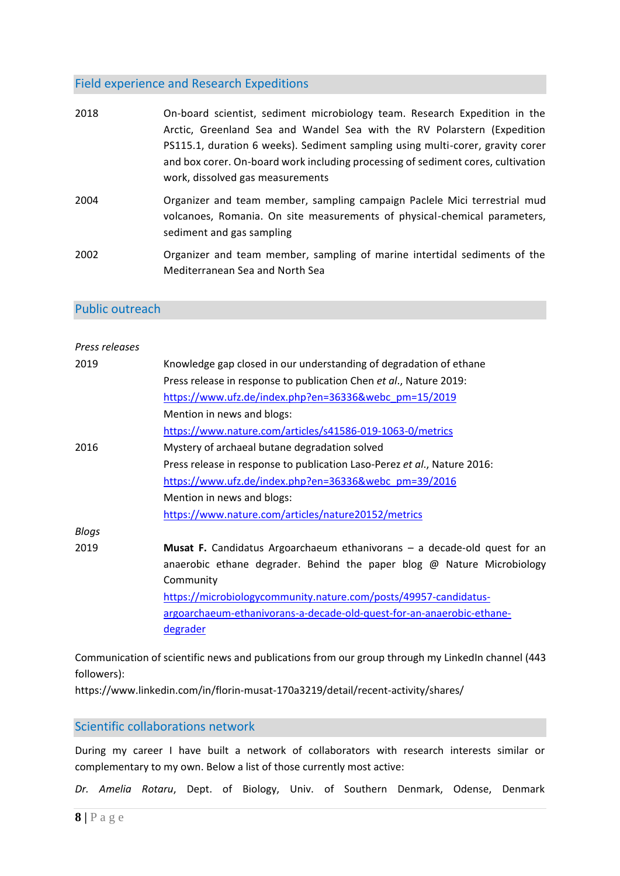# Field experience and Research Expeditions

| 2018 | On-board scientist, sediment microbiology team. Research Expedition in the<br>Arctic, Greenland Sea and Wandel Sea with the RV Polarstern (Expedition<br>PS115.1, duration 6 weeks). Sediment sampling using multi-corer, gravity corer<br>and box corer. On-board work including processing of sediment cores, cultivation<br>work, dissolved gas measurements |
|------|-----------------------------------------------------------------------------------------------------------------------------------------------------------------------------------------------------------------------------------------------------------------------------------------------------------------------------------------------------------------|
| 2004 | Organizer and team member, sampling campaign Paclele Mici terrestrial mud<br>volcanoes, Romania. On site measurements of physical-chemical parameters,<br>sediment and gas sampling                                                                                                                                                                             |
| 2002 | Organizer and team member, sampling of marine intertidal sediments of the<br>Mediterranean Sea and North Sea                                                                                                                                                                                                                                                    |

## Public outreach

| Press releases |                                                                               |
|----------------|-------------------------------------------------------------------------------|
| 2019           | Knowledge gap closed in our understanding of degradation of ethane            |
|                | Press release in response to publication Chen et al., Nature 2019:            |
|                | https://www.ufz.de/index.php?en=36336&webc_pm=15/2019                         |
|                | Mention in news and blogs:                                                    |
|                | https://www.nature.com/articles/s41586-019-1063-0/metrics                     |
| 2016           | Mystery of archaeal butane degradation solved                                 |
|                | Press release in response to publication Laso-Perez et al., Nature 2016:      |
|                | https://www.ufz.de/index.php?en=36336&webc_pm=39/2016                         |
|                | Mention in news and blogs:                                                    |
|                | https://www.nature.com/articles/nature20152/metrics                           |
| <b>Blogs</b>   |                                                                               |
| 2019           | Musat F. Candidatus Argoarchaeum ethanivorans - a decade-old quest for an     |
|                | anaerobic ethane degrader. Behind the paper blog $\omega$ Nature Microbiology |
|                | Community                                                                     |
|                | https://microbiologycommunity.nature.com/posts/49957-candidatus-              |
|                | argoarchaeum-ethanivorans-a-decade-old-quest-for-an-anaerobic-ethane-         |
|                | degrader                                                                      |
|                |                                                                               |

Communication of scientific news and publications from our group through my LinkedIn channel (443 followers):

https://www.linkedin.com/in/florin-musat-170a3219/detail/recent-activity/shares/

Scientific collaborations network

During my career I have built a network of collaborators with research interests similar or complementary to my own. Below a list of those currently most active:

*Dr. Amelia Rotaru*, Dept. of Biology, Univ. of Southern Denmark, Odense, Denmark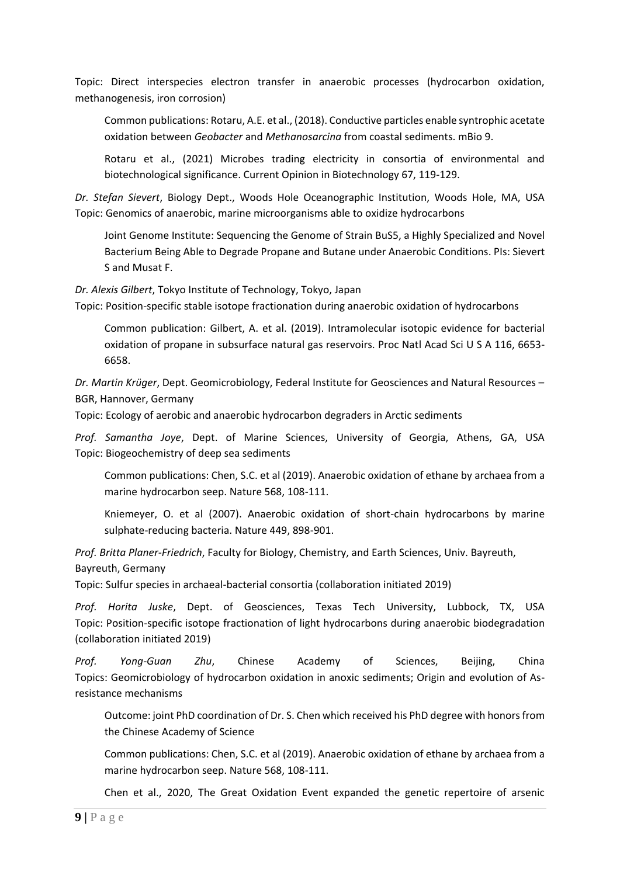Topic: Direct interspecies electron transfer in anaerobic processes (hydrocarbon oxidation, methanogenesis, iron corrosion)

Common publications: Rotaru, A.E. et al., (2018). Conductive particles enable syntrophic acetate oxidation between *Geobacter* and *Methanosarcina* from coastal sediments. mBio 9.

Rotaru et al., (2021) Microbes trading electricity in consortia of environmental and biotechnological significance. Current Opinion in Biotechnology 67, 119-129.

*Dr. Stefan Sievert*, Biology Dept., Woods Hole Oceanographic Institution, Woods Hole, MA, USA Topic: Genomics of anaerobic, marine microorganisms able to oxidize hydrocarbons

Joint Genome Institute: Sequencing the Genome of Strain BuS5, a Highly Specialized and Novel Bacterium Being Able to Degrade Propane and Butane under Anaerobic Conditions. PIs: Sievert S and Musat F.

*Dr. Alexis Gilbert*, Tokyo Institute of Technology, Tokyo, Japan

Topic: Position-specific stable isotope fractionation during anaerobic oxidation of hydrocarbons

Common publication: Gilbert, A. et al. (2019). Intramolecular isotopic evidence for bacterial oxidation of propane in subsurface natural gas reservoirs. Proc Natl Acad Sci U S A 116, 6653- 6658.

*Dr. Martin Krüger*, Dept. Geomicrobiology, Federal Institute for Geosciences and Natural Resources – BGR, Hannover, Germany

Topic: Ecology of aerobic and anaerobic hydrocarbon degraders in Arctic sediments

*Prof. Samantha Joye*, Dept. of Marine Sciences, University of Georgia, Athens, GA, USA Topic: Biogeochemistry of deep sea sediments

Common publications: Chen, S.C. et al (2019). Anaerobic oxidation of ethane by archaea from a marine hydrocarbon seep. Nature 568, 108-111.

Kniemeyer, O. et al (2007). Anaerobic oxidation of short-chain hydrocarbons by marine sulphate-reducing bacteria. Nature 449, 898-901.

*Prof. Britta Planer-Friedrich*, Faculty for Biology, Chemistry, and Earth Sciences, Univ. Bayreuth,

Bayreuth, Germany

Topic: Sulfur species in archaeal-bacterial consortia (collaboration initiated 2019)

*Prof. Horita Juske*, Dept. of Geosciences, Texas Tech University, Lubbock, TX, USA Topic: Position-specific isotope fractionation of light hydrocarbons during anaerobic biodegradation (collaboration initiated 2019)

*Prof. Yong-Guan Zhu*, Chinese Academy of Sciences, Beijing, China Topics: Geomicrobiology of hydrocarbon oxidation in anoxic sediments; Origin and evolution of Asresistance mechanisms

Outcome: joint PhD coordination of Dr. S. Chen which received his PhD degree with honors from the Chinese Academy of Science

Common publications: Chen, S.C. et al (2019). Anaerobic oxidation of ethane by archaea from a marine hydrocarbon seep. Nature 568, 108-111.

Chen et al., 2020, The Great Oxidation Event expanded the genetic repertoire of arsenic